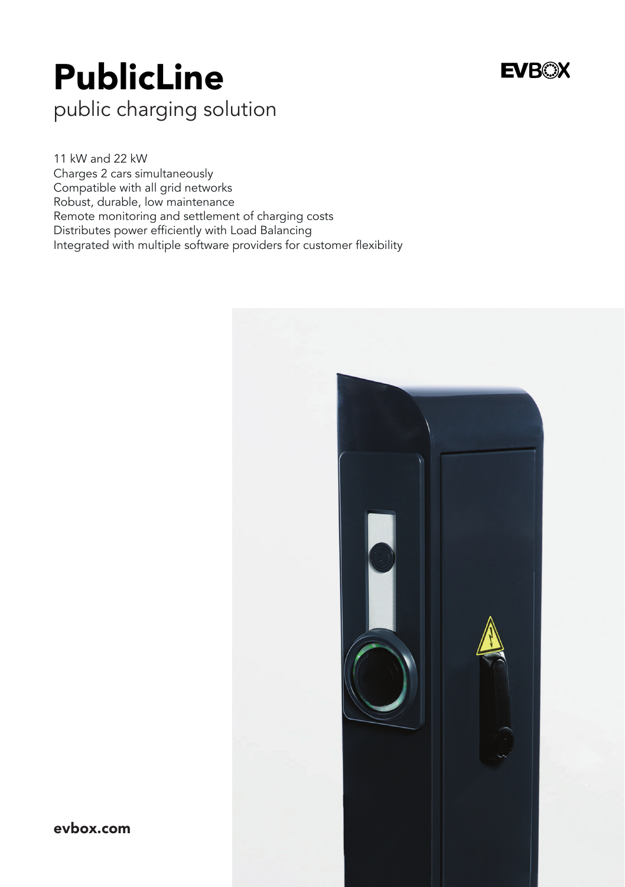## PublicLine

## **EVROX**

public charging solution

11 kW and 22 kW Charges 2 cars simultaneously Compatible with all grid networks Robust, durable, low maintenance Remote monitoring and settlement of charging costs Distributes power efficiently with Load Balancing Integrated with multiple software providers for customer flexibility



evbox.com